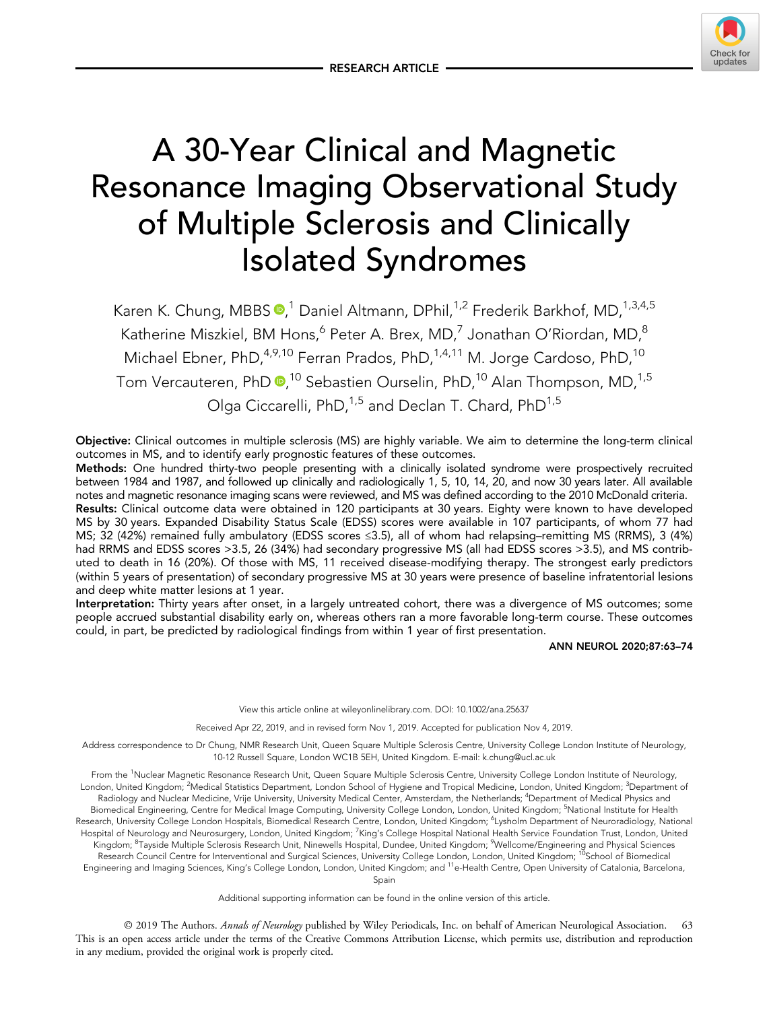

# A 30-Year Clinical and Magnetic Resonance Imaging Observational Study of Multiple Sclerosis and Clinically Isolated Syndromes

Karen K. Chung[,](https://orcid.org/0000-0001-8106-7220) MBBS  $\mathbf{D},^1$  Daniel Altmann, DPhil, $^{1,2}$  Frederik Barkhof, MD, $^{1,3,4,5}$ Katherine Miszkiel, BM Hons,<sup>6</sup> Peter A. Brex, MD,<sup>7</sup> Jonathan O'Riordan, MD,<sup>8</sup> Michael Ebner, PhD,<sup>4,9,10</sup> Ferran Prados, PhD,<sup>1,4,11</sup> M. Jorge Cardoso, PhD,<sup>10</sup> Tom Vercauteren, PhD **®**,<sup>10</sup> Sebastien Ourselin, PhD,<sup>10</sup> Alan Thompson, MD,<sup>1,5</sup> Olga Ciccarelli, PhD,<sup>1,5</sup> and Declan T. Chard, PhD<sup>1,5</sup>

Objective: Clinical outcomes in multiple sclerosis (MS) are highly variable. We aim to determine the long-term clinical outcomes in MS, and to identify early prognostic features of these outcomes.

Methods: One hundred thirty-two people presenting with a clinically isolated syndrome were prospectively recruited between 1984 and 1987, and followed up clinically and radiologically 1, 5, 10, 14, 20, and now 30 years later. All available notes and magnetic resonance imaging scans were reviewed, and MS was defined according to the 2010 McDonald criteria.

Results: Clinical outcome data were obtained in 120 participants at 30 years. Eighty were known to have developed MS by 30 years. Expanded Disability Status Scale (EDSS) scores were available in 107 participants, of whom 77 had MS; 32 (42%) remained fully ambulatory (EDSS scores ≤3.5), all of whom had relapsing–remitting MS (RRMS), 3 (4%) had RRMS and EDSS scores >3.5, 26 (34%) had secondary progressive MS (all had EDSS scores >3.5), and MS contributed to death in 16 (20%). Of those with MS, 11 received disease-modifying therapy. The strongest early predictors (within 5 years of presentation) of secondary progressive MS at 30 years were presence of baseline infratentorial lesions and deep white matter lesions at 1 year.

Interpretation: Thirty years after onset, in a largely untreated cohort, there was a divergence of MS outcomes; some people accrued substantial disability early on, whereas others ran a more favorable long-term course. These outcomes could, in part, be predicted by radiological findings from within 1 year of first presentation.

ANN NEUROL 2020;87:63–74

View this article online at wileyonlinelibrary.com. DOI: 10.1002/ana.25637

Received Apr 22, 2019, and in revised form Nov 1, 2019. Accepted for publication Nov 4, 2019.

Address correspondence to Dr Chung, NMR Research Unit, Queen Square Multiple Sclerosis Centre, University College London Institute of Neurology, 10-12 Russell Square, London WC1B 5EH, United Kingdom. E-mail: [k.chung@ucl.ac.uk](mailto:k.chung@ucl.ac.uk)

From the <sup>1</sup>Nuclear Magnetic Resonance Research Unit, Queen Square Multiple Sclerosis Centre, University College London Institute of Neurology, London, United Kingdom; <sup>2</sup>Medical Statistics Department, London School of Hygiene and Tropical Medicine, London, United Kingdom; <sup>3</sup>Department of Radiology and Nuclear Medicine, Vrije University, University Medical Center, Amsterdam, the Netherlands; <sup>4</sup>Department of Medical Physics and Biomedical Engineering, Centre for Medical Image Computing, University College London, London, United Kingdom; <sup>5</sup>National Institute for Health Research, University College London Hospitals, Biomedical Research Centre, London, United Kingdom; <sup>6</sup>Lysholm Department of Neuroradiology, National Hospital of Neurology and Neurosurgery, London, United Kingdom; <sup>7</sup>King's College Hospital National Health Service Foundation Trust, London, United Kingdom; <sup>8</sup>Tayside Multiple Sclerosis Research Unit, Ninewells Hospital, Dundee, United Kingdom; <sup>9</sup>Wellcome/Engineering and Physical Sciences Research Council Centre for Interventional and Surgical Sciences, University College London, London, United Kingdom; 10School of Biomedical Engineering and Imaging Sciences, King's College London, London, United Kingdom; and 11e-Health Centre, Open University of Catalonia, Barcelona, Spain

Additional supporting information can be found in the online version of this article.

© 2019 The Authors. Annals of Neurology published by Wiley Periodicals, Inc. on behalf of American Neurological Association. This is an open access article under the terms of the [Creative Commons Attribution](http://creativecommons.org/licenses/by/4.0/) License, which permits use, distribution and reproduction in any medium, provided the original work is properly cited.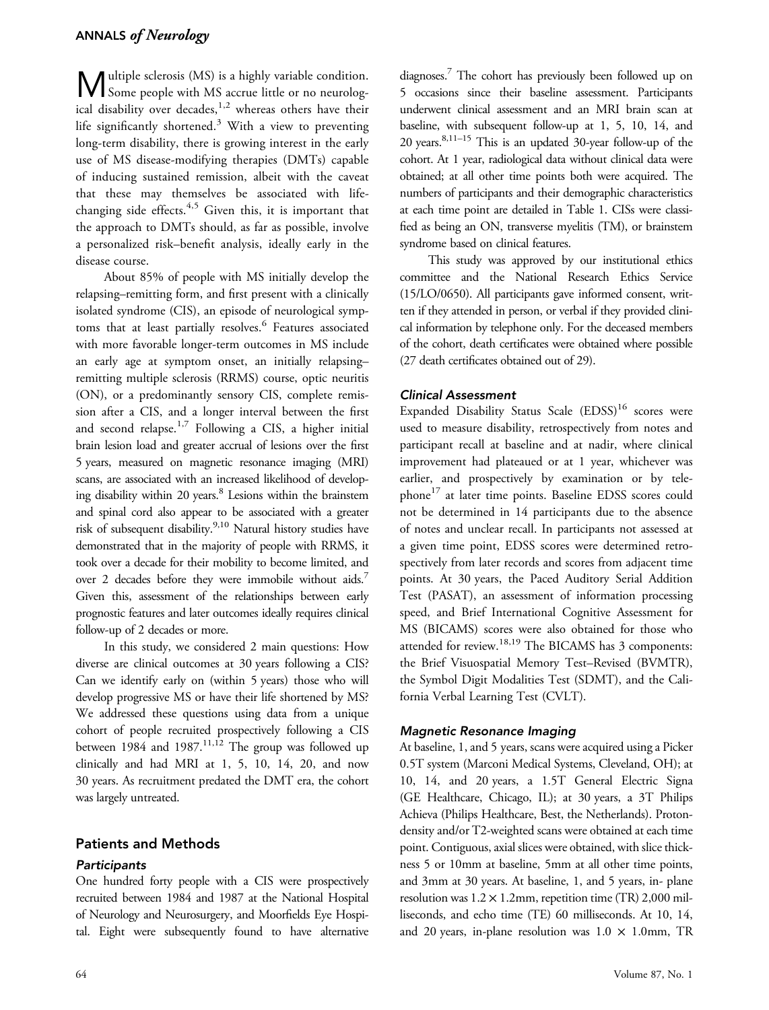**M** ultiple sclerosis (MS) is a highly variable condition.<br>Some people with MS accrue little or no neurological disability over decades,<sup>1,2</sup> whereas others have their life significantly shortened.<sup>3</sup> With a view to preventing long-term disability, there is growing interest in the early use of MS disease-modifying therapies (DMTs) capable of inducing sustained remission, albeit with the caveat that these may themselves be associated with lifechanging side effects. $4,5$  Given this, it is important that the approach to DMTs should, as far as possible, involve a personalized risk–benefit analysis, ideally early in the disease course.

About 85% of people with MS initially develop the relapsing–remitting form, and first present with a clinically isolated syndrome (CIS), an episode of neurological symptoms that at least partially resolves.<sup>6</sup> Features associated with more favorable longer-term outcomes in MS include an early age at symptom onset, an initially relapsing– remitting multiple sclerosis (RRMS) course, optic neuritis (ON), or a predominantly sensory CIS, complete remission after a CIS, and a longer interval between the first and second relapse.<sup>1,7</sup> Following a CIS, a higher initial brain lesion load and greater accrual of lesions over the first 5 years, measured on magnetic resonance imaging (MRI) scans, are associated with an increased likelihood of developing disability within 20 years.<sup>8</sup> Lesions within the brainstem and spinal cord also appear to be associated with a greater risk of subsequent disability.<sup>9,10</sup> Natural history studies have demonstrated that in the majority of people with RRMS, it took over a decade for their mobility to become limited, and over 2 decades before they were immobile without aids.<sup>7</sup> Given this, assessment of the relationships between early prognostic features and later outcomes ideally requires clinical follow-up of 2 decades or more.

In this study, we considered 2 main questions: How diverse are clinical outcomes at 30 years following a CIS? Can we identify early on (within 5 years) those who will develop progressive MS or have their life shortened by MS? We addressed these questions using data from a unique cohort of people recruited prospectively following a CIS between  $1984$  and  $1987$ .<sup>11,12</sup> The group was followed up clinically and had MRI at 1, 5, 10, 14, 20, and now 30 years. As recruitment predated the DMT era, the cohort was largely untreated.

## Patients and Methods

#### **Participants**

One hundred forty people with a CIS were prospectively recruited between 1984 and 1987 at the National Hospital of Neurology and Neurosurgery, and Moorfields Eye Hospital. Eight were subsequently found to have alternative

diagnoses.7 The cohort has previously been followed up on 5 occasions since their baseline assessment. Participants underwent clinical assessment and an MRI brain scan at baseline, with subsequent follow-up at 1, 5, 10, 14, and 20 years.8,11–<sup>15</sup> This is an updated 30-year follow-up of the cohort. At 1 year, radiological data without clinical data were obtained; at all other time points both were acquired. The numbers of participants and their demographic characteristics at each time point are detailed in Table 1. CISs were classified as being an ON, transverse myelitis (TM), or brainstem syndrome based on clinical features.

This study was approved by our institutional ethics committee and the National Research Ethics Service (15/LO/0650). All participants gave informed consent, written if they attended in person, or verbal if they provided clinical information by telephone only. For the deceased members of the cohort, death certificates were obtained where possible (27 death certificates obtained out of 29).

#### Clinical Assessment

Expanded Disability Status Scale (EDSS)<sup>16</sup> scores were used to measure disability, retrospectively from notes and participant recall at baseline and at nadir, where clinical improvement had plateaued or at 1 year, whichever was earlier, and prospectively by examination or by telephone<sup>17</sup> at later time points. Baseline EDSS scores could not be determined in 14 participants due to the absence of notes and unclear recall. In participants not assessed at a given time point, EDSS scores were determined retrospectively from later records and scores from adjacent time points. At 30 years, the Paced Auditory Serial Addition Test (PASAT), an assessment of information processing speed, and Brief International Cognitive Assessment for MS (BICAMS) scores were also obtained for those who attended for review.<sup>18,19</sup> The BICAMS has 3 components: the Brief Visuospatial Memory Test–Revised (BVMTR), the Symbol Digit Modalities Test (SDMT), and the California Verbal Learning Test (CVLT).

#### Magnetic Resonance Imaging

At baseline, 1, and 5 years, scans were acquired using a Picker 0.5T system (Marconi Medical Systems, Cleveland, OH); at 10, 14, and 20 years, a 1.5T General Electric Signa (GE Healthcare, Chicago, IL); at 30 years, a 3T Philips Achieva (Philips Healthcare, Best, the Netherlands). Protondensity and/or T2-weighted scans were obtained at each time point. Contiguous, axial slices were obtained, with slice thickness 5 or 10mm at baseline, 5mm at all other time points, and 3mm at 30 years. At baseline, 1, and 5 years, in- plane resolution was 1.2 × 1.2mm, repetition time (TR) 2,000 milliseconds, and echo time (TE) 60 milliseconds. At 10, 14, and 20 years, in-plane resolution was  $1.0 \times 1.0$ mm, TR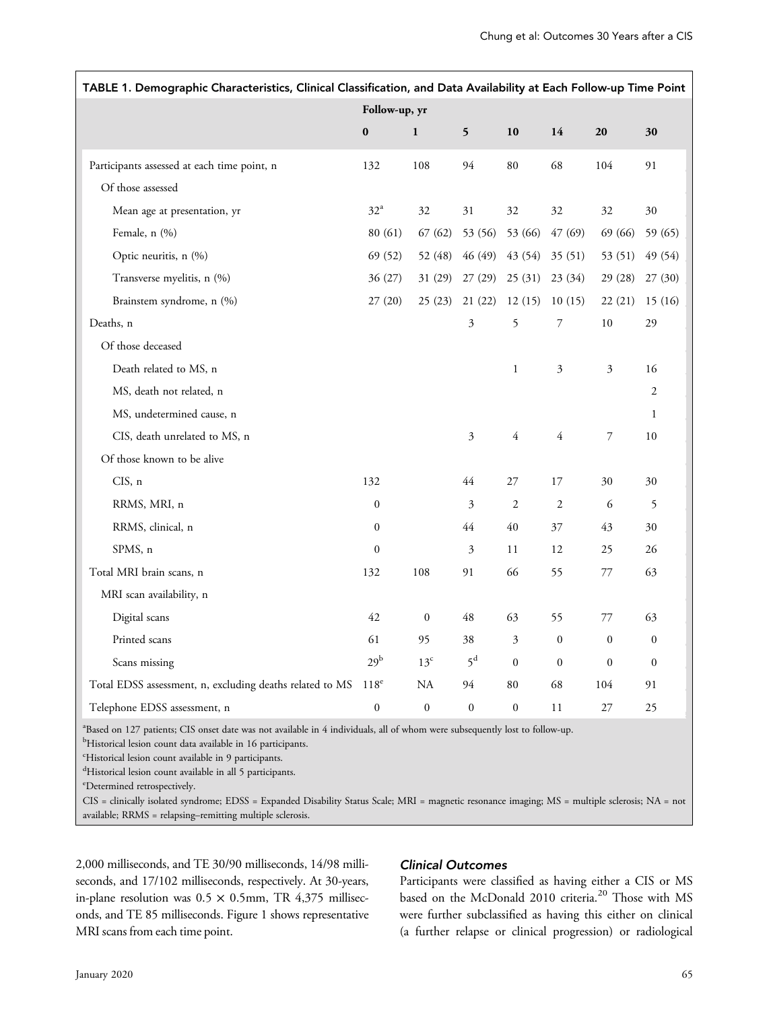| TABLE 1. Demographic Characteristics, Clinical Classification, and Data Availability at Each Follow-up Time Point                       |                   |                  |                |                  |                  |                  |                  |  |
|-----------------------------------------------------------------------------------------------------------------------------------------|-------------------|------------------|----------------|------------------|------------------|------------------|------------------|--|
|                                                                                                                                         | Follow-up, yr     |                  |                |                  |                  |                  |                  |  |
|                                                                                                                                         | $\pmb{0}$         | $\mathbf{1}$     | $\mathbf{5}$   | 10               | 14               | 20               | 30               |  |
| Participants assessed at each time point, n                                                                                             | 132               | 108              | 94             | 80               | 68               | 104              | 91               |  |
| Of those assessed                                                                                                                       |                   |                  |                |                  |                  |                  |                  |  |
| Mean age at presentation, yr                                                                                                            | $32^{\mathrm{a}}$ | 32               | 31             | 32               | 32               | 32               | 30               |  |
| Female, n (%)                                                                                                                           | 80 (61)           | 67 (62)          | 53 (56)        | 53 (66)          | 47 (69)          | 69 (66)          | 59 (65)          |  |
| Optic neuritis, n (%)                                                                                                                   | 69 (52)           | 52 (48)          | 46 (49)        | 43 (54)          | 35(51)           | 53 (51)          | 49 (54)          |  |
| Transverse myelitis, n (%)                                                                                                              | 36 (27)           | 31(29)           | 27(29)         | 25(31)           | 23(34)           | 29 (28)          | 27(30)           |  |
| Brainstem syndrome, n (%)                                                                                                               | 27(20)            | 25 (23)          | 21 (22)        | 12(15)           | 10(15)           | 22(21)           | 15(16)           |  |
| Deaths, n                                                                                                                               |                   |                  | 3              | 5                | 7                | 10               | 29               |  |
| Of those deceased                                                                                                                       |                   |                  |                |                  |                  |                  |                  |  |
| Death related to MS, n                                                                                                                  |                   |                  |                | $\mathbf{1}$     | $\mathfrak{Z}$   | 3                | 16               |  |
| MS, death not related, n                                                                                                                |                   |                  |                |                  |                  |                  | $\mathfrak{2}$   |  |
| MS, undetermined cause, n                                                                                                               |                   |                  |                |                  |                  |                  | $\mathbf{1}$     |  |
| CIS, death unrelated to MS, n                                                                                                           |                   |                  | $\overline{3}$ | $\overline{4}$   | $\overline{4}$   | 7                | $10\,$           |  |
| Of those known to be alive                                                                                                              |                   |                  |                |                  |                  |                  |                  |  |
| CIS, n                                                                                                                                  | 132               |                  | 44             | 27               | 17               | 30               | 30               |  |
| RRMS, MRI, n                                                                                                                            | $\boldsymbol{0}$  |                  | 3              | $\overline{c}$   | $\overline{2}$   | 6                | 5                |  |
| RRMS, clinical, n                                                                                                                       | $\boldsymbol{0}$  |                  | $44$           | 40               | 37               | 43               | 30               |  |
| SPMS, n                                                                                                                                 | $\boldsymbol{0}$  |                  | 3              | 11               | 12               | 25               | 26               |  |
| Total MRI brain scans, n                                                                                                                | 132               | 108              | 91             | 66               | 55               | 77               | 63               |  |
| MRI scan availability, n                                                                                                                |                   |                  |                |                  |                  |                  |                  |  |
| Digital scans                                                                                                                           | 42                | $\boldsymbol{0}$ | 48             | 63               | 55               | 77               | 63               |  |
| Printed scans                                                                                                                           | 61                | 95               | 38             | $\mathfrak{Z}$   | $\boldsymbol{0}$ | $\boldsymbol{0}$ | $\boldsymbol{0}$ |  |
| Scans missing                                                                                                                           | 29 <sup>b</sup>   | $13^{\circ}$     | $5^d$          | $\overline{0}$   | $\overline{0}$   | $\mathbf{0}$     | $\boldsymbol{0}$ |  |
| Total EDSS assessment, n, excluding deaths related to MS                                                                                | $118^e$           | $\rm NA$         | 94             | 80               | 68               | 104              | 91               |  |
| Telephone EDSS assessment, n                                                                                                            | $\overline{0}$    | $\boldsymbol{0}$ | $\overline{0}$ | $\boldsymbol{0}$ | 11               | 27               | 25               |  |
| <sup>a</sup> Based on 127 patients; CIS onset date was not available in 4 individuals, all of whom were subsequently lost to follow-up. |                   |                  |                |                  |                  |                  |                  |  |

<sup>b</sup>Historical lesion count data available in 16 participants.

c Historical lesion count available in 9 participants.

<sup>d</sup>Historical lesion count available in all 5 participants.

e Determined retrospectively.

CIS = clinically isolated syndrome; EDSS = Expanded Disability Status Scale; MRI = magnetic resonance imaging; MS = multiple sclerosis; NA = not available; RRMS = relapsing–remitting multiple sclerosis.

2,000 milliseconds, and TE 30/90 milliseconds, 14/98 milliseconds, and 17/102 milliseconds, respectively. At 30-years, in-plane resolution was  $0.5 \times 0.5$ mm, TR 4,375 milliseconds, and TE 85 milliseconds. Figure 1 shows representative MRI scans from each time point.

#### Clinical Outcomes

Participants were classified as having either a CIS or MS based on the McDonald 2010 criteria.<sup>20</sup> Those with MS were further subclassified as having this either on clinical (a further relapse or clinical progression) or radiological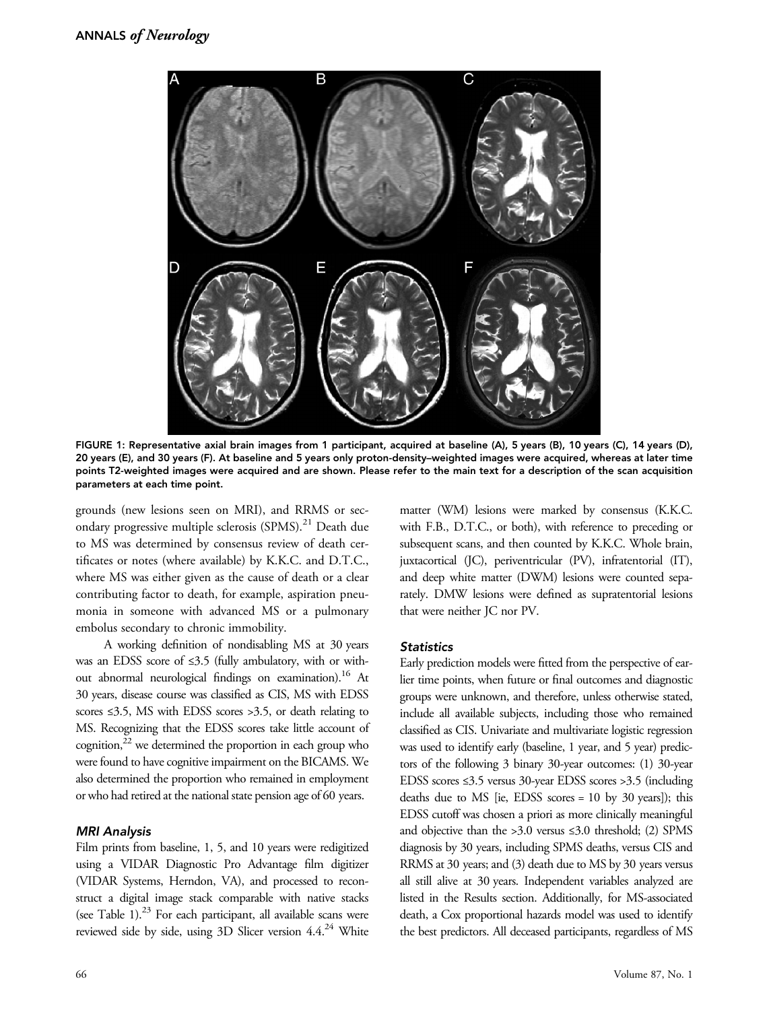

FIGURE 1: Representative axial brain images from 1 participant, acquired at baseline (A), 5 years (B), 10 years (C), 14 years (D), 20 years (E), and 30 years (F). At baseline and 5 years only proton-density–weighted images were acquired, whereas at later time points T2-weighted images were acquired and are shown. Please refer to the main text for a description of the scan acquisition parameters at each time point.

grounds (new lesions seen on MRI), and RRMS or secondary progressive multiple sclerosis (SPMS).<sup>21</sup> Death due to MS was determined by consensus review of death certificates or notes (where available) by K.K.C. and D.T.C., where MS was either given as the cause of death or a clear contributing factor to death, for example, aspiration pneumonia in someone with advanced MS or a pulmonary embolus secondary to chronic immobility.

A working definition of nondisabling MS at 30 years was an EDSS score of ≤3.5 (fully ambulatory, with or without abnormal neurological findings on examination).<sup>16</sup> At 30 years, disease course was classified as CIS, MS with EDSS scores ≤3.5, MS with EDSS scores >3.5, or death relating to MS. Recognizing that the EDSS scores take little account of cognition, $^{22}$  we determined the proportion in each group who were found to have cognitive impairment on the BICAMS. We also determined the proportion who remained in employment or who had retired at the national state pension age of 60 years.

#### MRI Analysis

Film prints from baseline, 1, 5, and 10 years were redigitized using a VIDAR Diagnostic Pro Advantage film digitizer (VIDAR Systems, Herndon, VA), and processed to reconstruct a digital image stack comparable with native stacks (see Table 1). $^{23}$  For each participant, all available scans were reviewed side by side, using 3D Slicer version  $4.4^{24}$  White

matter (WM) lesions were marked by consensus (K.K.C. with F.B., D.T.C., or both), with reference to preceding or subsequent scans, and then counted by K.K.C. Whole brain, juxtacortical (JC), periventricular (PV), infratentorial (IT), and deep white matter (DWM) lesions were counted separately. DMW lesions were defined as supratentorial lesions that were neither JC nor PV.

#### **Statistics**

Early prediction models were fitted from the perspective of earlier time points, when future or final outcomes and diagnostic groups were unknown, and therefore, unless otherwise stated, include all available subjects, including those who remained classified as CIS. Univariate and multivariate logistic regression was used to identify early (baseline, 1 year, and 5 year) predictors of the following 3 binary 30-year outcomes: (1) 30-year EDSS scores ≤3.5 versus 30-year EDSS scores >3.5 (including deaths due to MS [ie, EDSS scores = 10 by 30 years]); this EDSS cutoff was chosen a priori as more clinically meaningful and objective than the >3.0 versus ≤3.0 threshold; (2) SPMS diagnosis by 30 years, including SPMS deaths, versus CIS and RRMS at 30 years; and (3) death due to MS by 30 years versus all still alive at 30 years. Independent variables analyzed are listed in the Results section. Additionally, for MS-associated death, a Cox proportional hazards model was used to identify the best predictors. All deceased participants, regardless of MS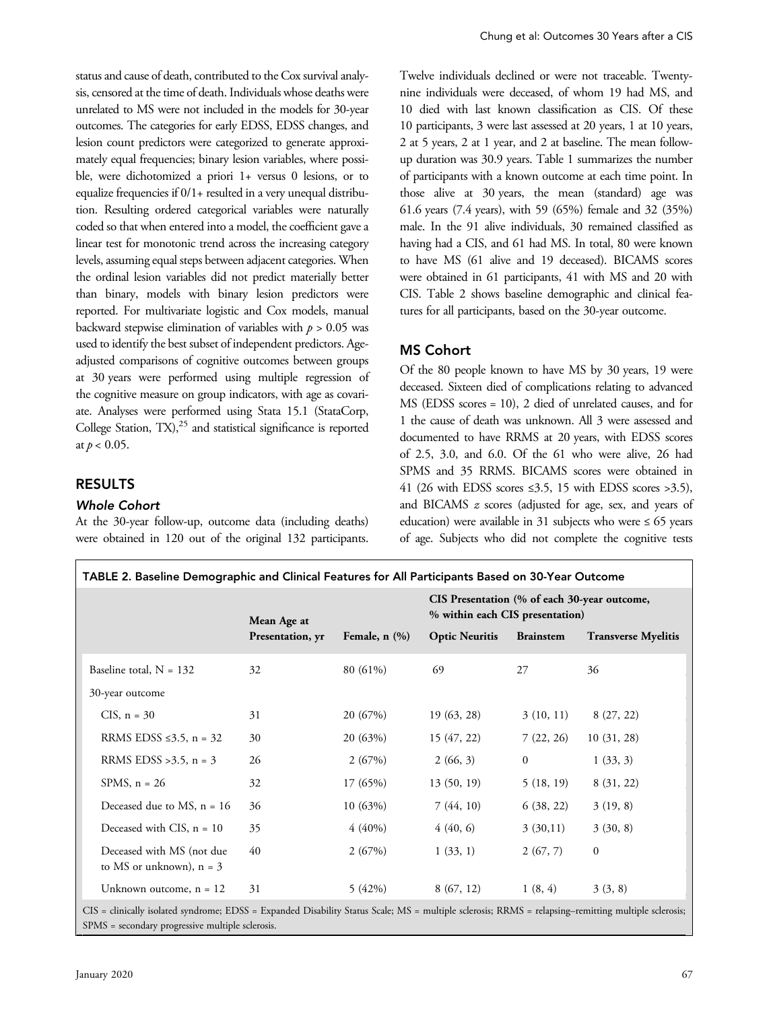status and cause of death, contributed to the Cox survival analysis, censored at the time of death. Individuals whose deaths were unrelated to MS were not included in the models for 30-year outcomes. The categories for early EDSS, EDSS changes, and lesion count predictors were categorized to generate approximately equal frequencies; binary lesion variables, where possible, were dichotomized a priori 1+ versus 0 lesions, or to equalize frequencies if 0/1+ resulted in a very unequal distribution. Resulting ordered categorical variables were naturally coded so that when entered into a model, the coefficient gave a linear test for monotonic trend across the increasing category levels, assuming equal steps between adjacent categories. When the ordinal lesion variables did not predict materially better than binary, models with binary lesion predictors were reported. For multivariate logistic and Cox models, manual backward stepwise elimination of variables with  $p > 0.05$  was used to identify the best subset of independent predictors. Ageadjusted comparisons of cognitive outcomes between groups at 30 years were performed using multiple regression of the cognitive measure on group indicators, with age as covariate. Analyses were performed using Stata 15.1 (StataCorp, College Station,  $TX$ ),<sup>25</sup> and statistical significance is reported at  $p < 0.05$ .

#### RESULTS

#### Whole Cohort

At the 30-year follow-up, outcome data (including deaths) were obtained in 120 out of the original 132 participants. Twelve individuals declined or were not traceable. Twentynine individuals were deceased, of whom 19 had MS, and 10 died with last known classification as CIS. Of these 10 participants, 3 were last assessed at 20 years, 1 at 10 years, 2 at 5 years, 2 at 1 year, and 2 at baseline. The mean followup duration was 30.9 years. Table 1 summarizes the number of participants with a known outcome at each time point. In those alive at 30 years, the mean (standard) age was 61.6 years (7.4 years), with 59 (65%) female and 32 (35%) male. In the 91 alive individuals, 30 remained classified as having had a CIS, and 61 had MS. In total, 80 were known to have MS (61 alive and 19 deceased). BICAMS scores were obtained in 61 participants, 41 with MS and 20 with CIS. Table 2 shows baseline demographic and clinical features for all participants, based on the 30-year outcome.

#### MS Cohort

Of the 80 people known to have MS by 30 years, 19 were deceased. Sixteen died of complications relating to advanced MS (EDSS scores = 10), 2 died of unrelated causes, and for 1 the cause of death was unknown. All 3 were assessed and documented to have RRMS at 20 years, with EDSS scores of 2.5, 3.0, and 6.0. Of the 61 who were alive, 26 had SPMS and 35 RRMS. BICAMS scores were obtained in 41 (26 with EDSS scores  $\leq$ 3.5, 15 with EDSS scores  $>$ 3.5), and BICAMS z scores (adjusted for age, sex, and years of education) were available in 31 subjects who were  $\leq 65$  years of age. Subjects who did not complete the cognitive tests

|                                                         | Mean Age at        |                       | CIS Presentation (% of each 30-year outcome,<br>% within each CIS presentation) |                            |              |  |  |  |
|---------------------------------------------------------|--------------------|-----------------------|---------------------------------------------------------------------------------|----------------------------|--------------|--|--|--|
| Presentation, yr                                        | Female, $n$ $(\%)$ | <b>Optic Neuritis</b> | <b>Brainstem</b>                                                                | <b>Transverse Myelitis</b> |              |  |  |  |
| Baseline total, $N = 132$                               | 32                 | 80 (61%)              | 69                                                                              | 27                         | 36           |  |  |  |
| 30-year outcome                                         |                    |                       |                                                                                 |                            |              |  |  |  |
| CIS, $n = 30$                                           | 31                 | 20 (67%)              | 19 (63, 28)                                                                     | 3(10, 11)                  | 8(27, 22)    |  |  |  |
| RRMS EDSS $\leq 3.5$ , n = 32                           | 30                 | 20(63%)               | 15 (47, 22)                                                                     | 7(22, 26)                  | 10(31, 28)   |  |  |  |
| RRMS EDSS > 3.5, $n = 3$                                | 26                 | 2(67%)                | 2(66, 3)                                                                        | $\mathbf{0}$               | 1(33, 3)     |  |  |  |
| SPMS, $n = 26$                                          | 32                 | 17 (65%)              | 13(50, 19)                                                                      | 5(18, 19)                  | 8 (31, 22)   |  |  |  |
| Deceased due to MS, $n = 16$                            | 36                 | 10(63%)               | 7(44, 10)                                                                       | 6(38, 22)                  | 3(19, 8)     |  |  |  |
| Deceased with CIS, $n = 10$                             | 35                 | $4(40\%)$             | 4(40, 6)                                                                        | 3(30,11)                   | 3(30, 8)     |  |  |  |
| Deceased with MS (not due<br>to MS or unknown), $n = 3$ | 40                 | 2(67%)                | 1(33, 1)                                                                        | 2(67, 7)                   | $\mathbf{0}$ |  |  |  |
| Unknown outcome, $n = 12$                               | 31                 | 5(42%)                | 8(67, 12)                                                                       | 1(8, 4)                    | 3(3, 8)      |  |  |  |

SPMS = secondary progressive multiple sclerosis.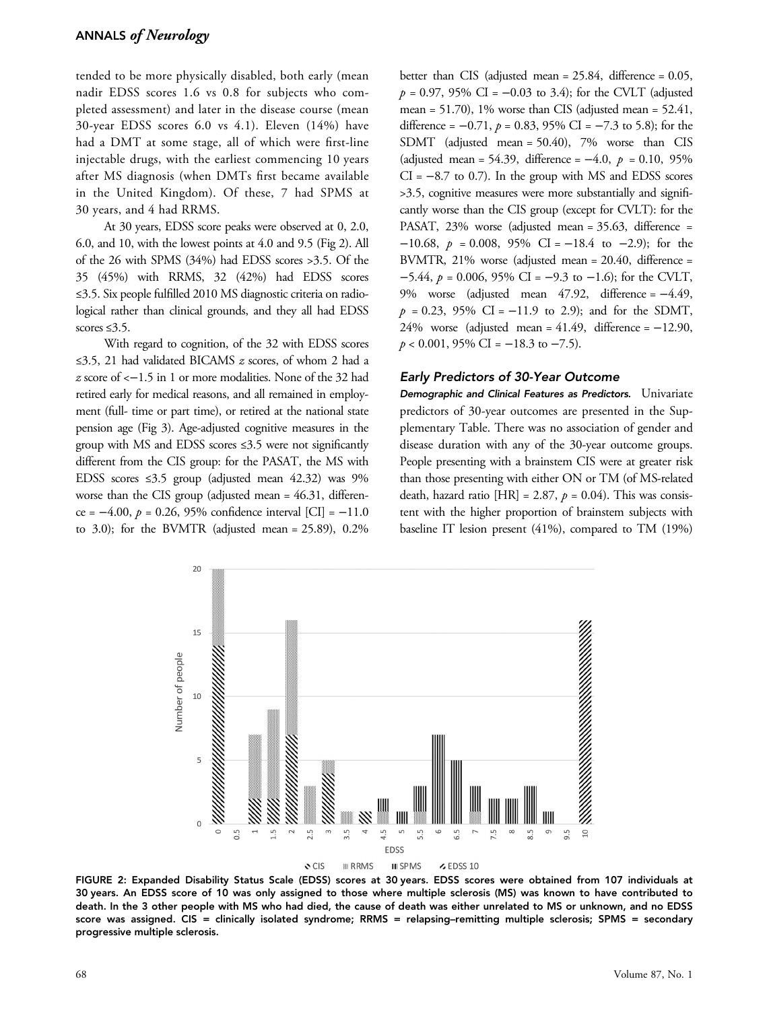tended to be more physically disabled, both early (mean nadir EDSS scores 1.6 vs 0.8 for subjects who completed assessment) and later in the disease course (mean 30-year EDSS scores 6.0 vs 4.1). Eleven (14%) have had a DMT at some stage, all of which were first-line injectable drugs, with the earliest commencing 10 years after MS diagnosis (when DMTs first became available in the United Kingdom). Of these, 7 had SPMS at 30 years, and 4 had RRMS.

At 30 years, EDSS score peaks were observed at 0, 2.0, 6.0, and 10, with the lowest points at 4.0 and 9.5 (Fig 2). All of the 26 with SPMS (34%) had EDSS scores >3.5. Of the 35 (45%) with RRMS, 32 (42%) had EDSS scores ≤3.5. Six people fulfilled 2010 MS diagnostic criteria on radiological rather than clinical grounds, and they all had EDSS scores  $\leq 3.5$ .

With regard to cognition, of the 32 with EDSS scores <sup>≤</sup>3.5, 21 had validated BICAMS z scores, of whom 2 had a z score of <−1.5 in 1 or more modalities. None of the 32 had retired early for medical reasons, and all remained in employment (full- time or part time), or retired at the national state pension age (Fig 3). Age-adjusted cognitive measures in the group with MS and EDSS scores ≤3.5 were not significantly different from the CIS group: for the PASAT, the MS with EDSS scores ≤3.5 group (adjusted mean 42.32) was 9% worse than the CIS group (adjusted mean = 46.31, difference =  $-4.00$ ,  $p = 0.26$ , 95% confidence interval [CI] =  $-11.0$ to 3.0); for the BVMTR (adjusted mean =  $25.89$ ), 0.2%

better than CIS (adjusted mean = 25.84, difference = 0.05,  $p = 0.97, 95\% \text{ CI} = -0.03 \text{ to } 3.4$ ; for the CVLT (adjusted mean =  $51.70$ ), 1% worse than CIS (adjusted mean =  $52.41$ , difference =  $-0.71$ ,  $p = 0.83$ , 95% CI =  $-7.3$  to 5.8); for the SDMT (adjusted mean = 50.40), 7% worse than CIS (adjusted mean = 54.39, difference =  $-4.0, p = 0.10, 95\%$  $CI = -8.7$  to 0.7). In the group with MS and EDSS scores >3.5, cognitive measures were more substantially and significantly worse than the CIS group (except for CVLT): for the PASAT, 23% worse (adjusted mean = 35.63, difference =  $-10.68$ ,  $p = 0.008$ , 95% CI =  $-18.4$  to  $-2.9$ ); for the BVMTR, 21% worse (adjusted mean = 20.40, difference = −5.44,  $p = 0.006$ , 95% CI = −9.3 to −1.6); for the CVLT, 9% worse (adjusted mean 47.92, difference = −4.49,  $p = 0.23$ , 95% CI = -11.9 to 2.9); and for the SDMT, 24% worse (adjusted mean =  $41.49$ , difference =  $-12.90$ ,  $p < 0.001$ , 95% CI = -18.3 to -7.5).

#### Early Predictors of 30-Year Outcome

Demographic and Clinical Features as Predictors. Univariate predictors of 30-year outcomes are presented in the Supplementary Table. There was no association of gender and disease duration with any of the 30-year outcome groups. People presenting with a brainstem CIS were at greater risk than those presenting with either ON or TM (of MS-related death, hazard ratio  $[HR] = 2.87$ ,  $p = 0.04$ ). This was consistent with the higher proportion of brainstem subjects with baseline IT lesion present (41%), compared to TM (19%)



FIGURE 2: Expanded Disability Status Scale (EDSS) scores at 30 years. EDSS scores were obtained from 107 individuals at 30 years. An EDSS score of 10 was only assigned to those where multiple sclerosis (MS) was known to have contributed to death. In the 3 other people with MS who had died, the cause of death was either unrelated to MS or unknown, and no EDSS score was assigned. CIS = clinically isolated syndrome; RRMS = relapsing-remitting multiple sclerosis; SPMS = secondary progressive multiple sclerosis.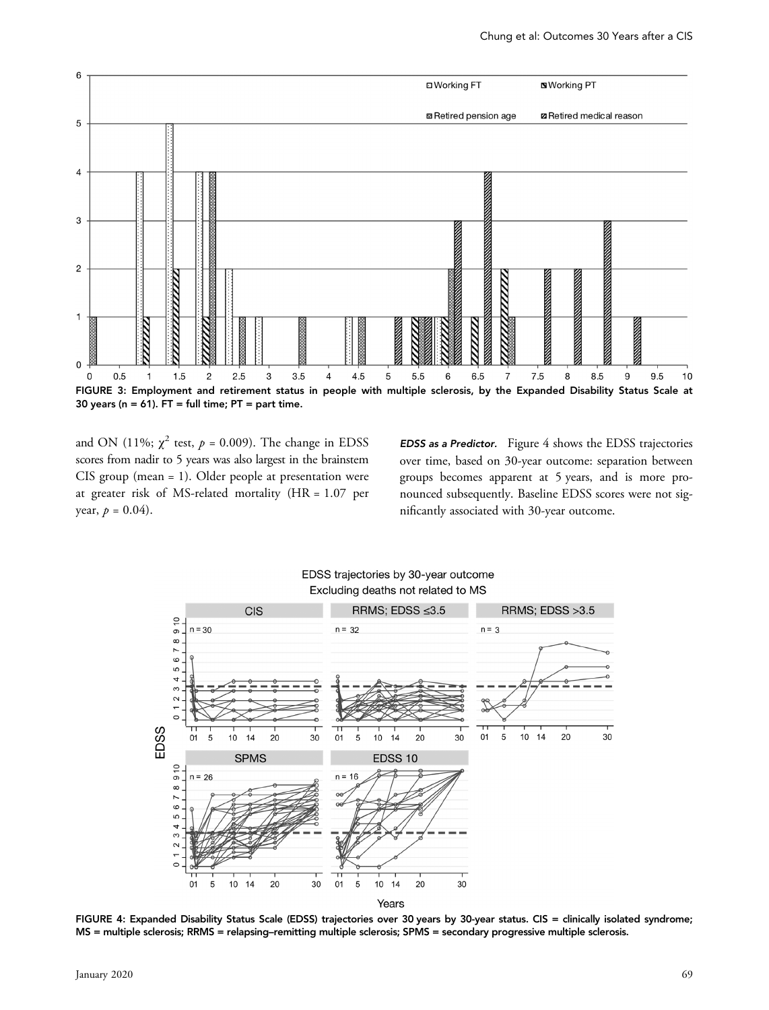

and ON (11%;  $\chi^2$  test,  $p = 0.009$ ). The change in EDSS scores from nadir to 5 years was also largest in the brainstem CIS group (mean = 1). Older people at presentation were at greater risk of MS-related mortality (HR = 1.07 per year,  $p = 0.04$ .

EDSS as a Predictor. Figure 4 shows the EDSS trajectories over time, based on 30-year outcome: separation between groups becomes apparent at 5 years, and is more pronounced subsequently. Baseline EDSS scores were not significantly associated with 30-year outcome.



EDSS trajectories by 30-year outcome

FIGURE 4: Expanded Disability Status Scale (EDSS) trajectories over 30 years by 30-year status. CIS = clinically isolated syndrome; MS = multiple sclerosis; RRMS = relapsing–remitting multiple sclerosis; SPMS = secondary progressive multiple sclerosis.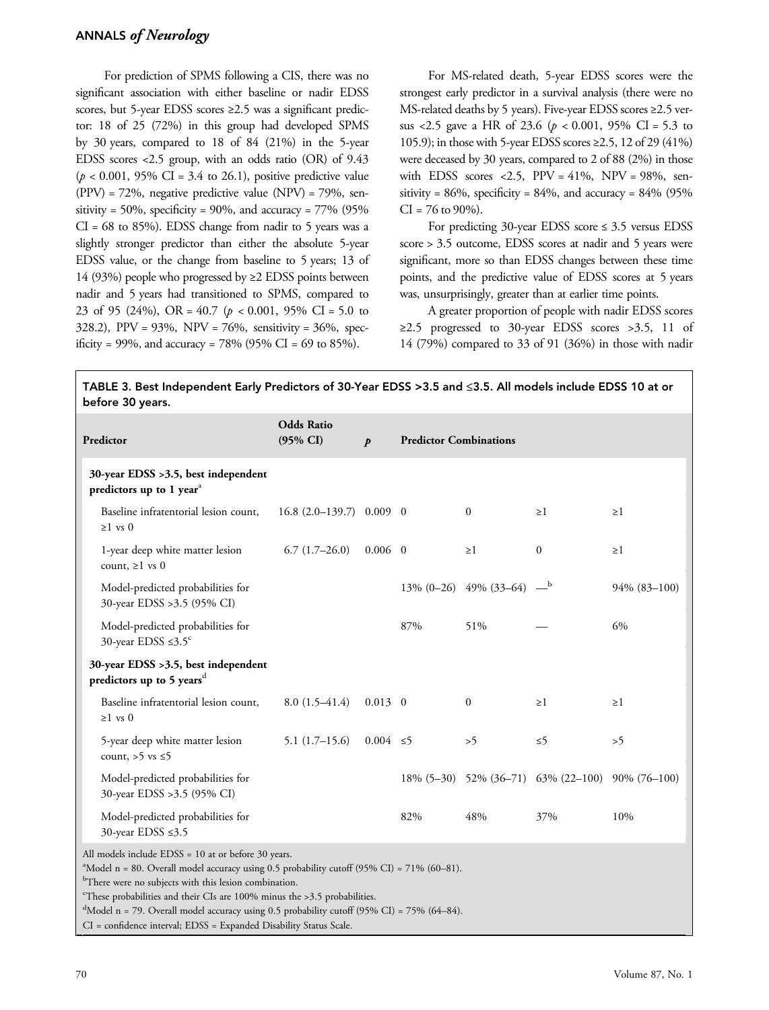## ANNALS of Neurology

For prediction of SPMS following a CIS, there was no significant association with either baseline or nadir EDSS scores, but 5-year EDSS scores ≥2.5 was a significant predictor: 18 of 25 (72%) in this group had developed SPMS by 30 years, compared to 18 of 84 (21%) in the 5-year EDSS scores <2.5 group, with an odds ratio (OR) of 9.43  $(p < 0.001, 95\% \text{ CI} = 3.4 \text{ to } 26.1)$ , positive predictive value (PPV) = 72%, negative predictive value (NPV) = 79%, sensitivity = 50%, specificity = 90%, and accuracy =  $77\%$  (95%)  $CI = 68$  to 85%). EDSS change from nadir to 5 years was a slightly stronger predictor than either the absolute 5-year EDSS value, or the change from baseline to 5 years; 13 of 14 (93%) people who progressed by ≥2 EDSS points between nadir and 5 years had transitioned to SPMS, compared to 23 of 95 (24%), OR =  $40.7$  ( $p < 0.001$ , 95% CI = 5.0 to 328.2), PPV = 93%, NPV = 76%, sensitivity = 36%, specificity = 99%, and accuracy = 78% (95% CI = 69 to 85%).

For MS-related death, 5-year EDSS scores were the strongest early predictor in a survival analysis (there were no MS-related deaths by 5 years). Five-year EDSS scores ≥2.5 versus <2.5 gave a HR of 23.6 ( $p < 0.001$ , 95% CI = 5.3 to 105.9); in those with 5-year EDSS scores ≥2.5, 12 of 29 (41%) were deceased by 30 years, compared to 2 of 88 (2%) in those with EDSS scores <2.5,  $PPV = 41\%$ ,  $NPV = 98\%$ , sensitivity =  $86\%$ , specificity =  $84\%$ , and accuracy =  $84\%$  (95%)  $CI = 76$  to  $90\%$ ).

For predicting  $30$ -year EDSS score  $\leq 3.5$  versus EDSS score > 3.5 outcome, EDSS scores at nadir and 5 years were significant, more so than EDSS changes between these time points, and the predictive value of EDSS scores at 5 years was, unsurprisingly, greater than at earlier time points.

A greater proportion of people with nadir EDSS scores ≥2.5 progressed to 30-year EDSS scores >3.5, 11 of 14 (79%) compared to 33 of 91 (36%) in those with nadir

## TABLE 3. Best Independent Early Predictors of 30-Year EDSS >3.5 and ≤3.5. All models include EDSS 10 at or before 30 years.

| Predictor                                                                                                                                                                                                                                                                                                                                                                                                                              | <b>Odds Ratio</b><br>$(95\% \text{ CI})$ | $\boldsymbol{p}$ | <b>Predictor Combinations</b> |                             |                                                  |              |  |
|----------------------------------------------------------------------------------------------------------------------------------------------------------------------------------------------------------------------------------------------------------------------------------------------------------------------------------------------------------------------------------------------------------------------------------------|------------------------------------------|------------------|-------------------------------|-----------------------------|--------------------------------------------------|--------------|--|
| 30-year EDSS >3.5, best independent<br>predictors up to 1 year <sup>a</sup>                                                                                                                                                                                                                                                                                                                                                            |                                          |                  |                               |                             |                                                  |              |  |
| Baseline infratentorial lesion count,<br>$\geq 1$ vs 0                                                                                                                                                                                                                                                                                                                                                                                 | $16.8$ $(2.0-139.7)$ 0.009 0             |                  |                               | $\mathbf{0}$                | $\geq$ 1                                         | $\geq 1$     |  |
| 1-year deep white matter lesion<br>count, $\geq 1$ vs 0                                                                                                                                                                                                                                                                                                                                                                                | $6.7(1.7-26.0)$                          | $0.006 \quad 0$  |                               | $\geq$ 1                    | $\boldsymbol{0}$                                 | $\geq 1$     |  |
| Model-predicted probabilities for<br>30-year EDSS > 3.5 (95% CI)                                                                                                                                                                                                                                                                                                                                                                       |                                          |                  |                               | $13\%$ (0-26) 49% (33-64) - |                                                  | 94% (83-100) |  |
| Model-predicted probabilities for<br>30-year EDSS $\leq 3.5^c$                                                                                                                                                                                                                                                                                                                                                                         |                                          |                  | 87%                           | 51%                         |                                                  | 6%           |  |
| 30-year EDSS >3.5, best independent<br>predictors up to 5 years <sup>d</sup>                                                                                                                                                                                                                                                                                                                                                           |                                          |                  |                               |                             |                                                  |              |  |
| Baseline infratentorial lesion count,<br>$\geq 1$ vs 0                                                                                                                                                                                                                                                                                                                                                                                 | $8.0(1.5-41.4)$                          | $0.013 \quad 0$  |                               | $\boldsymbol{0}$            | $\geq$ 1                                         | $\geq 1$     |  |
| 5-year deep white matter lesion<br>count, $>5$ vs $\leq 5$                                                                                                                                                                                                                                                                                                                                                                             | $5.1(1.7-15.6)$                          | $0.004 \le 5$    |                               | >5                          | $\leq 5$                                         | >5           |  |
| Model-predicted probabilities for<br>30-year EDSS >3.5 (95% CI)                                                                                                                                                                                                                                                                                                                                                                        |                                          |                  |                               |                             | 18% (5-30) 52% (36-71) 63% (22-100) 90% (76-100) |              |  |
| Model-predicted probabilities for<br>30-year EDSS ≤3.5                                                                                                                                                                                                                                                                                                                                                                                 |                                          |                  | 82%                           | 48%                         | 37%                                              | 10%          |  |
| All models include EDSS = 10 at or before 30 years.<br><sup>a</sup> Model n = 80. Overall model accuracy using 0.5 probability cutoff (95% CI) = 71% (60-81).<br><sup>b</sup> There were no subjects with this lesion combination.<br><sup>c</sup> These probabilities and their CIs are 100% minus the >3.5 probabilities.<br>$^{\text{d}}$ Model n = 79. Overall model accuracy using 0.5 probability cutoff (95% CI) = 75% (64–84). |                                          |                  |                               |                             |                                                  |              |  |

CI = confidence interval; EDSS = Expanded Disability Status Scale.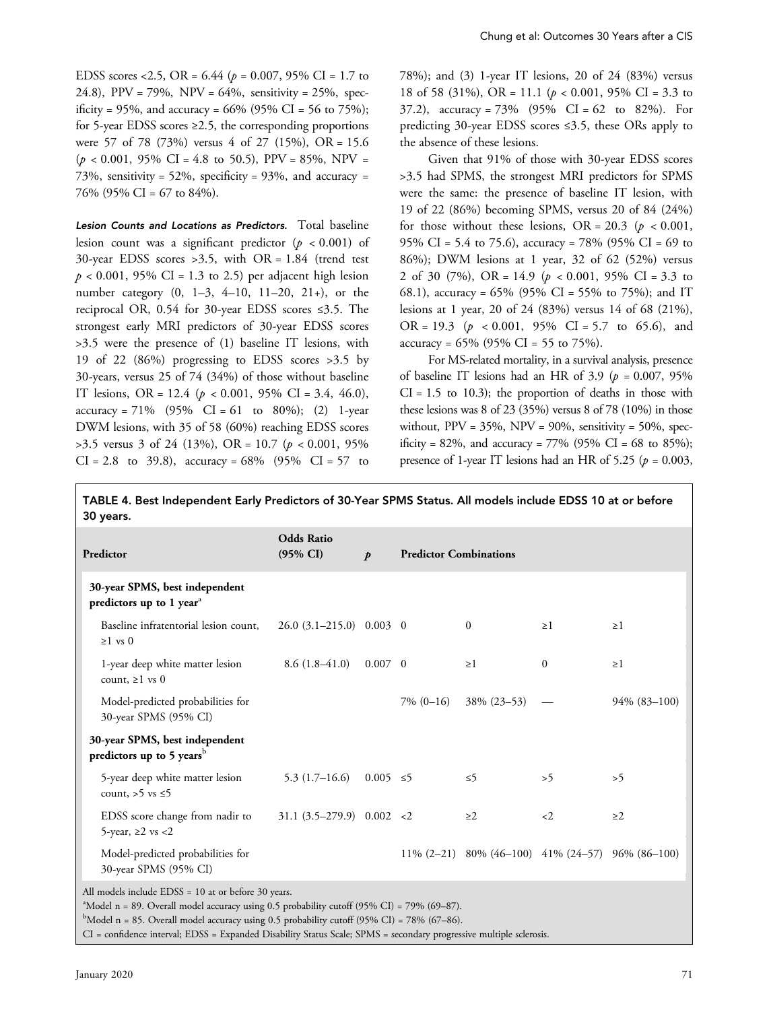EDSS scores <2.5, OR =  $6.44$  ( $p = 0.007$ , 95% CI = 1.7 to 24.8), PPV = 79%, NPV =  $64\%$ , sensitivity =  $25\%$ , specificity = 95%, and accuracy = 66% (95% CI = 56 to 75%); for 5-year EDSS scores ≥2.5, the corresponding proportions were 57 of 78 (73%) versus 4 of 27 (15%), OR = 15.6  $(p < 0.001, 95\% \text{ CI} = 4.8 \text{ to } 50.5)$ , PPV = 85%, NPV = 73%, sensitivity =  $52\%$ , specificity =  $93\%$ , and accuracy = 76% (95% CI = 67 to 84%).

Lesion Counts and Locations as Predictors. Total baseline lesion count was a significant predictor  $(p < 0.001)$  of 30-year EDSS scores >3.5, with OR = 1.84 (trend test  $p < 0.001$ , 95% CI = 1.3 to 2.5) per adjacent high lesion number category (0, 1–3, 4–10, 11–20, 21+), or the reciprocal OR, 0.54 for 30-year EDSS scores ≤3.5. The strongest early MRI predictors of 30-year EDSS scores >3.5 were the presence of (1) baseline IT lesions, with 19 of 22 (86%) progressing to EDSS scores >3.5 by 30-years, versus 25 of 74 (34%) of those without baseline IT lesions, OR = 12.4 ( $p < 0.001$ , 95% CI = 3.4, 46.0), accuracy = 71%  $(95\% \text{ CI} = 61 \text{ to } 80\%);$  (2) 1-year DWM lesions, with 35 of 58 (60%) reaching EDSS scores  $>3.5$  versus 3 of 24 (13%), OR = 10.7 ( $p < 0.001$ , 95%)  $CI = 2.8$  to 39.8), accuracy = 68% (95%  $CI = 57$  to

78%); and (3) 1-year IT lesions, 20 of 24 (83%) versus 18 of 58 (31%), OR = 11.1 ( $p < 0.001$ , 95% CI = 3.3 to 37.2), accuracy =  $73\%$  (95% CI = 62 to 82%). For predicting 30-year EDSS scores ≤3.5, these ORs apply to the absence of these lesions.

Given that 91% of those with 30-year EDSS scores >3.5 had SPMS, the strongest MRI predictors for SPMS were the same: the presence of baseline IT lesion, with 19 of 22 (86%) becoming SPMS, versus 20 of 84 (24%) for those without these lesions, OR = 20.3 ( $p < 0.001$ , 95% CI = 5.4 to 75.6), accuracy = 78% (95% CI = 69 to 86%); DWM lesions at 1 year, 32 of 62 (52%) versus 2 of 30 (7%), OR = 14.9 ( $p < 0.001$ , 95% CI = 3.3 to 68.1), accuracy = 65% (95% CI = 55% to 75%); and IT lesions at 1 year, 20 of 24 (83%) versus 14 of 68 (21%), OR = 19.3 ( $p \le 0.001$ , 95% CI = 5.7 to 65.6), and accuracy =  $65\%$  (95% CI = 55 to 75%).

For MS-related mortality, in a survival analysis, presence of baseline IT lesions had an HR of 3.9 ( $p = 0.007, 95\%$ )  $CI = 1.5$  to 10.3); the proportion of deaths in those with these lesions was 8 of 23 (35%) versus 8 of 78 (10%) in those without,  $PPV = 35\%, NPV = 90\%,$  sensitivity = 50%, specificity = 82%, and accuracy = 77% (95% CI = 68 to 85%); presence of 1-year IT lesions had an HR of 5.25 ( $p = 0.003$ ,

TABLE 4. Best Independent Early Predictors of 30-Year SPMS Status. All models include EDSS 10 at or before 30 years.

| Predictor                                                               | <b>Odds Ratio</b><br>$(95\% \text{ CI})$ | $\boldsymbol{p}$ | <b>Predictor Combinations</b> |                                                     |              |                 |  |
|-------------------------------------------------------------------------|------------------------------------------|------------------|-------------------------------|-----------------------------------------------------|--------------|-----------------|--|
| 30-year SPMS, best independent<br>predictors up to 1 year <sup>a</sup>  |                                          |                  |                               |                                                     |              |                 |  |
| Baseline infratentorial lesion count.<br>$\geq 1$ vs 0                  | $26.0 (3.1 - 215.0) 0.003 0$             |                  |                               | $\mathbf{0}$                                        | >1           | $\geq$ 1        |  |
| 1-year deep white matter lesion<br>count, $\geq 1$ vs 0                 | $8.6(1.8-41.0)$                          | $0.007 \quad 0$  |                               | >1                                                  | $\mathbf{0}$ | >1              |  |
| Model-predicted probabilities for<br>30-year SPMS (95% CI)              |                                          |                  | $7\%$ (0-16)                  | 38% (23-53)                                         |              | $94\%$ (83-100) |  |
| 30-year SPMS, best independent<br>predictors up to 5 years <sup>b</sup> |                                          |                  |                               |                                                     |              |                 |  |
| 5-year deep white matter lesion<br>count, $>5$ vs $\leq 5$              | 5.3 $(1.7-16.6)$ 0.005 $\leq$ 5          |                  |                               | $\leq 5$                                            | >5           | >5              |  |
| EDSS score change from nadir to<br>5-year, $\geq 2$ vs $\lt 2$          | $31.1 (3.5-279.9) 0.002 < 2$             |                  |                               | $\geq$ 2                                            | $\langle 2$  | $\geq$ 2        |  |
| Model-predicted probabilities for<br>30-year SPMS (95% CI)              |                                          |                  |                               | $11\% (2-21)$ 80% (46-100) 41% (24-57) 96% (86-100) |              |                 |  |
| All models include EDSS = 10 at or before 30 years.                     |                                          |                  |                               |                                                     |              |                 |  |

<sup>a</sup>Model n = 89. Overall model accuracy using 0.5 probability cutoff (95% CI) = 79% (69-87).

 $^{\rm b}$ Model n = 85. Overall model accuracy using 0.5 probability cutoff (95% CI) = 78% (67–86).

CI = confidence interval; EDSS = Expanded Disability Status Scale; SPMS = secondary progressive multiple sclerosis.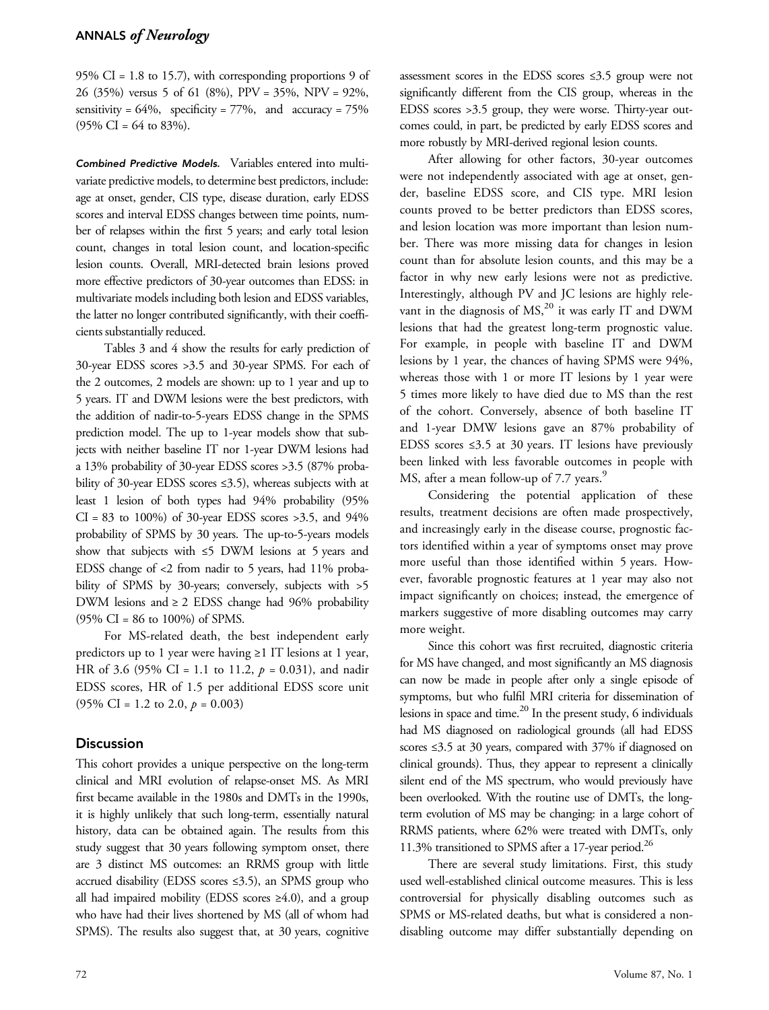95% CI =  $1.8$  to 15.7), with corresponding proportions 9 of 26 (35%) versus 5 of 61 (8%), PPV = 35%, NPV = 92%, sensitivity =  $64\%$ , specificity =  $77\%$ , and accuracy =  $75\%$  $(95\% \text{ CI} = 64 \text{ to } 83\%).$ 

Combined Predictive Models. Variables entered into multivariate predictive models, to determine best predictors, include: age at onset, gender, CIS type, disease duration, early EDSS scores and interval EDSS changes between time points, number of relapses within the first 5 years; and early total lesion count, changes in total lesion count, and location-specific lesion counts. Overall, MRI-detected brain lesions proved more effective predictors of 30-year outcomes than EDSS: in multivariate models including both lesion and EDSS variables, the latter no longer contributed significantly, with their coefficients substantially reduced.

Tables 3 and 4 show the results for early prediction of 30-year EDSS scores >3.5 and 30-year SPMS. For each of the 2 outcomes, 2 models are shown: up to 1 year and up to 5 years. IT and DWM lesions were the best predictors, with the addition of nadir-to-5-years EDSS change in the SPMS prediction model. The up to 1-year models show that subjects with neither baseline IT nor 1-year DWM lesions had a 13% probability of 30-year EDSS scores >3.5 (87% probability of 30-year EDSS scores ≤3.5), whereas subjects with at least 1 lesion of both types had 94% probability (95%  $CI = 83$  to 100%) of 30-year EDSS scores > 3.5, and 94% probability of SPMS by 30 years. The up-to-5-years models show that subjects with ≤5 DWM lesions at 5 years and EDSS change of <2 from nadir to 5 years, had 11% probability of SPMS by 30-years; conversely, subjects with  $>5$ DWM lesions and  $\geq 2$  EDSS change had 96% probability  $(95\% \text{ CI} = 86 \text{ to } 100\%) \text{ of SPMS}.$ 

For MS-related death, the best independent early predictors up to 1 year were having ≥1 IT lesions at 1 year, HR of 3.6 (95% CI = 1.1 to 11.2,  $p = 0.031$ ), and nadir EDSS scores, HR of 1.5 per additional EDSS score unit  $(95\% \text{ CI} = 1.2 \text{ to } 2.0, p = 0.003)$ 

## **Discussion**

This cohort provides a unique perspective on the long-term clinical and MRI evolution of relapse-onset MS. As MRI first became available in the 1980s and DMTs in the 1990s, it is highly unlikely that such long-term, essentially natural history, data can be obtained again. The results from this study suggest that 30 years following symptom onset, there are 3 distinct MS outcomes: an RRMS group with little accrued disability (EDSS scores ≤3.5), an SPMS group who all had impaired mobility (EDSS scores  $\geq 4.0$ ), and a group who have had their lives shortened by MS (all of whom had SPMS). The results also suggest that, at 30 years, cognitive

assessment scores in the EDSS scores ≤3.5 group were not significantly different from the CIS group, whereas in the EDSS scores >3.5 group, they were worse. Thirty-year outcomes could, in part, be predicted by early EDSS scores and more robustly by MRI-derived regional lesion counts.

After allowing for other factors, 30-year outcomes were not independently associated with age at onset, gender, baseline EDSS score, and CIS type. MRI lesion counts proved to be better predictors than EDSS scores, and lesion location was more important than lesion number. There was more missing data for changes in lesion count than for absolute lesion counts, and this may be a factor in why new early lesions were not as predictive. Interestingly, although PV and JC lesions are highly relevant in the diagnosis of  $MS<sub>2</sub><sup>20</sup>$  it was early IT and DWM lesions that had the greatest long-term prognostic value. For example, in people with baseline IT and DWM lesions by 1 year, the chances of having SPMS were 94%, whereas those with 1 or more IT lesions by 1 year were 5 times more likely to have died due to MS than the rest of the cohort. Conversely, absence of both baseline IT and 1-year DMW lesions gave an 87% probability of EDSS scores  $\leq$ 3.5 at 30 years. IT lesions have previously been linked with less favorable outcomes in people with MS, after a mean follow-up of 7.7 years.<sup>9</sup>

Considering the potential application of these results, treatment decisions are often made prospectively, and increasingly early in the disease course, prognostic factors identified within a year of symptoms onset may prove more useful than those identified within 5 years. However, favorable prognostic features at 1 year may also not impact significantly on choices; instead, the emergence of markers suggestive of more disabling outcomes may carry more weight.

Since this cohort was first recruited, diagnostic criteria for MS have changed, and most significantly an MS diagnosis can now be made in people after only a single episode of symptoms, but who fulfil MRI criteria for dissemination of lesions in space and time. $^{20}$  In the present study, 6 individuals had MS diagnosed on radiological grounds (all had EDSS scores ≤3.5 at 30 years, compared with 37% if diagnosed on clinical grounds). Thus, they appear to represent a clinically silent end of the MS spectrum, who would previously have been overlooked. With the routine use of DMTs, the longterm evolution of MS may be changing: in a large cohort of RRMS patients, where 62% were treated with DMTs, only 11.3% transitioned to SPMS after a 17-year period.<sup>26</sup>

There are several study limitations. First, this study used well-established clinical outcome measures. This is less controversial for physically disabling outcomes such as SPMS or MS-related deaths, but what is considered a nondisabling outcome may differ substantially depending on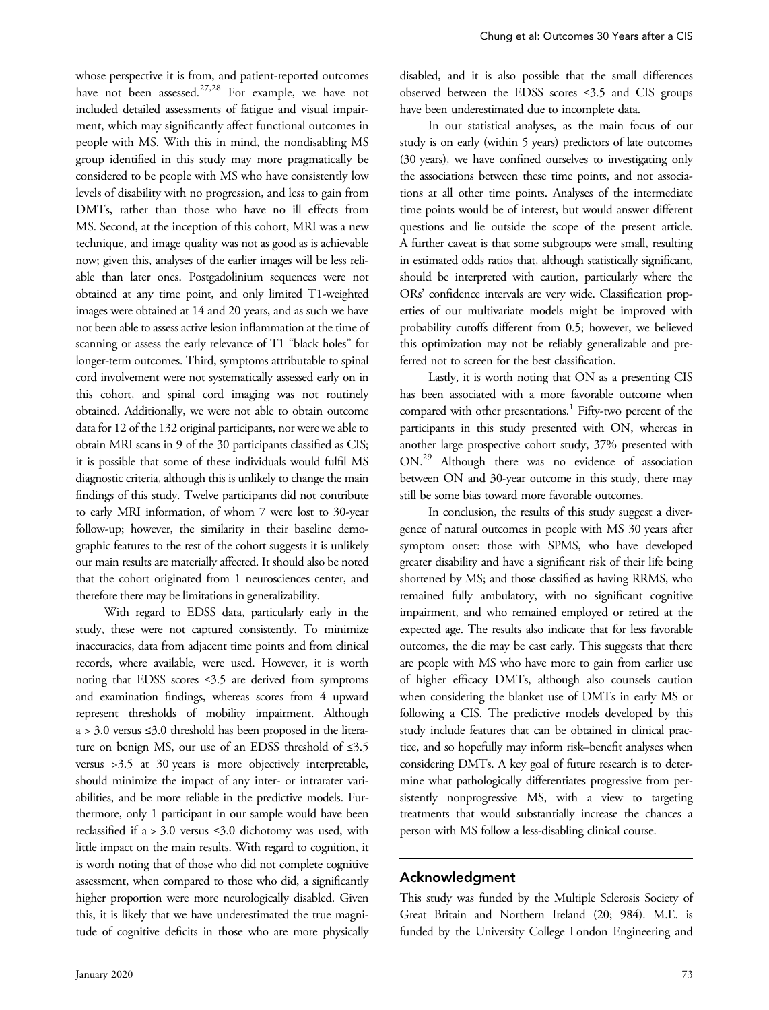whose perspective it is from, and patient-reported outcomes have not been assessed.<sup>27,28</sup> For example, we have not included detailed assessments of fatigue and visual impairment, which may significantly affect functional outcomes in people with MS. With this in mind, the nondisabling MS group identified in this study may more pragmatically be considered to be people with MS who have consistently low levels of disability with no progression, and less to gain from DMTs, rather than those who have no ill effects from MS. Second, at the inception of this cohort, MRI was a new technique, and image quality was not as good as is achievable now; given this, analyses of the earlier images will be less reliable than later ones. Postgadolinium sequences were not obtained at any time point, and only limited T1-weighted images were obtained at 14 and 20 years, and as such we have not been able to assess active lesion inflammation at the time of scanning or assess the early relevance of T1 "black holes" for longer-term outcomes. Third, symptoms attributable to spinal cord involvement were not systematically assessed early on in this cohort, and spinal cord imaging was not routinely obtained. Additionally, we were not able to obtain outcome data for 12 of the 132 original participants, nor were we able to obtain MRI scans in 9 of the 30 participants classified as CIS; it is possible that some of these individuals would fulfil MS diagnostic criteria, although this is unlikely to change the main findings of this study. Twelve participants did not contribute to early MRI information, of whom 7 were lost to 30-year follow-up; however, the similarity in their baseline demographic features to the rest of the cohort suggests it is unlikely our main results are materially affected. It should also be noted that the cohort originated from 1 neurosciences center, and therefore there may be limitations in generalizability.

With regard to EDSS data, particularly early in the study, these were not captured consistently. To minimize inaccuracies, data from adjacent time points and from clinical records, where available, were used. However, it is worth noting that EDSS scores ≤3.5 are derived from symptoms and examination findings, whereas scores from 4 upward represent thresholds of mobility impairment. Although a > 3.0 versus ≤3.0 threshold has been proposed in the literature on benign MS, our use of an EDSS threshold of ≤3.5 versus >3.5 at 30 years is more objectively interpretable, should minimize the impact of any inter- or intrarater variabilities, and be more reliable in the predictive models. Furthermore, only 1 participant in our sample would have been reclassified if a > 3.0 versus  $\leq$ 3.0 dichotomy was used, with little impact on the main results. With regard to cognition, it is worth noting that of those who did not complete cognitive assessment, when compared to those who did, a significantly higher proportion were more neurologically disabled. Given this, it is likely that we have underestimated the true magnitude of cognitive deficits in those who are more physically

disabled, and it is also possible that the small differences observed between the EDSS scores ≤3.5 and CIS groups have been underestimated due to incomplete data.

In our statistical analyses, as the main focus of our study is on early (within 5 years) predictors of late outcomes (30 years), we have confined ourselves to investigating only the associations between these time points, and not associations at all other time points. Analyses of the intermediate time points would be of interest, but would answer different questions and lie outside the scope of the present article. A further caveat is that some subgroups were small, resulting in estimated odds ratios that, although statistically significant, should be interpreted with caution, particularly where the ORs' confidence intervals are very wide. Classification properties of our multivariate models might be improved with probability cutoffs different from 0.5; however, we believed this optimization may not be reliably generalizable and preferred not to screen for the best classification.

Lastly, it is worth noting that ON as a presenting CIS has been associated with a more favorable outcome when compared with other presentations.<sup>1</sup> Fifty-two percent of the participants in this study presented with ON, whereas in another large prospective cohort study, 37% presented with ON.29 Although there was no evidence of association between ON and 30-year outcome in this study, there may still be some bias toward more favorable outcomes.

In conclusion, the results of this study suggest a divergence of natural outcomes in people with MS 30 years after symptom onset: those with SPMS, who have developed greater disability and have a significant risk of their life being shortened by MS; and those classified as having RRMS, who remained fully ambulatory, with no significant cognitive impairment, and who remained employed or retired at the expected age. The results also indicate that for less favorable outcomes, the die may be cast early. This suggests that there are people with MS who have more to gain from earlier use of higher efficacy DMTs, although also counsels caution when considering the blanket use of DMTs in early MS or following a CIS. The predictive models developed by this study include features that can be obtained in clinical practice, and so hopefully may inform risk–benefit analyses when considering DMTs. A key goal of future research is to determine what pathologically differentiates progressive from persistently nonprogressive MS, with a view to targeting treatments that would substantially increase the chances a person with MS follow a less-disabling clinical course.

#### Acknowledgment

This study was funded by the Multiple Sclerosis Society of Great Britain and Northern Ireland (20; 984). M.E. is funded by the University College London Engineering and